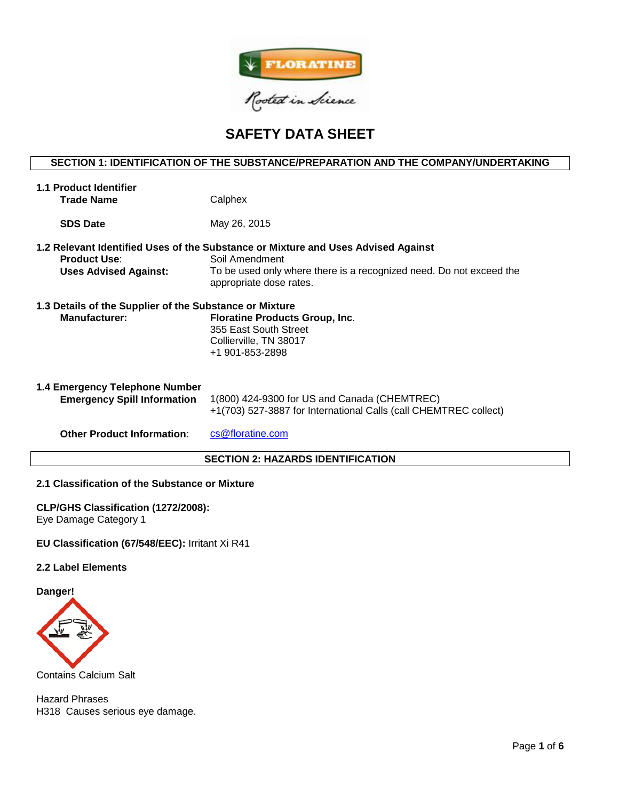

# **SAFETY DATA SHEET**

# **SECTION 1: IDENTIFICATION OF THE SUBSTANCE/PREPARATION AND THE COMPANY/UNDERTAKING**

| <b>1.1 Product Identifier</b><br><b>Trade Name</b>                              | Calphex                                                                                                                                                                                               |
|---------------------------------------------------------------------------------|-------------------------------------------------------------------------------------------------------------------------------------------------------------------------------------------------------|
| <b>SDS Date</b>                                                                 | May 26, 2015                                                                                                                                                                                          |
| <b>Product Use:</b><br><b>Uses Advised Against:</b>                             | 1.2 Relevant Identified Uses of the Substance or Mixture and Uses Advised Against<br>Soil Amendment<br>To be used only where there is a recognized need. Do not exceed the<br>appropriate dose rates. |
| 1.3 Details of the Supplier of the Substance or Mixture<br><b>Manufacturer:</b> | <b>Floratine Products Group, Inc.</b><br>355 East South Street<br>Collierville, TN 38017<br>+1 901-853-2898                                                                                           |
| 1.4 Emergency Telephone Number<br><b>Emergency Spill Information</b>            | 1(800) 424-9300 for US and Canada (CHEMTREC)<br>+1(703) 527-3887 for International Calls (call CHEMTREC collect)                                                                                      |
| <b>Other Product Information:</b>                                               | cs@floratine.com                                                                                                                                                                                      |

# **SECTION 2: HAZARDS IDENTIFICATION**

# **2.1 Classification of the Substance or Mixture**

**CLP/GHS Classification (1272/2008):**  Eye Damage Category 1

#### **EU Classification (67/548/EEC):** Irritant Xi R41

# **2.2 Label Elements**

**Danger!**



Contains Calcium Salt

Hazard Phrases H318 Causes serious eye damage.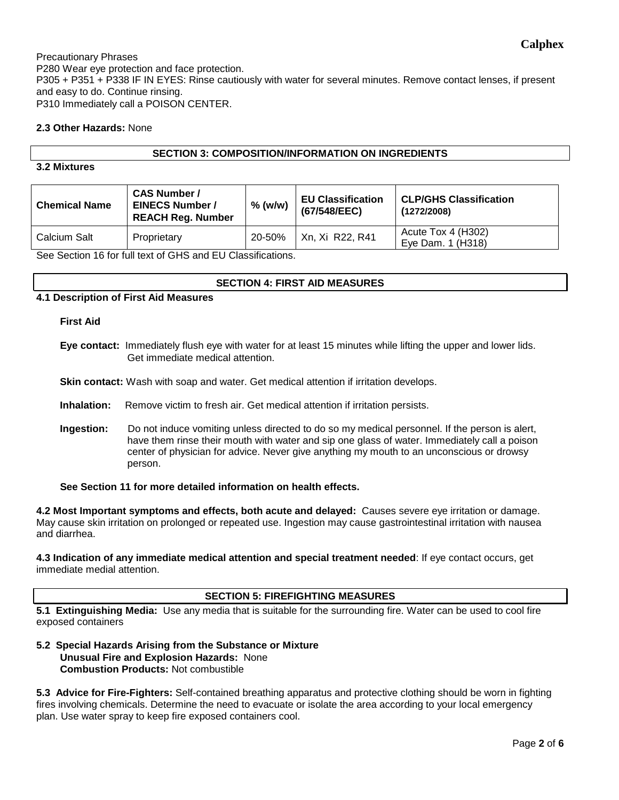Precautionary Phrases P280 Wear eye protection and face protection. P305 + P351 + P338 IF IN EYES: Rinse cautiously with water for several minutes. Remove contact lenses, if present and easy to do. Continue rinsing. P310 Immediately call a POISON CENTER.

# **2.3 Other Hazards:** None

# **SECTION 3: COMPOSITION/INFORMATION ON INGREDIENTS**

# **3.2 Mixtures**

| <b>Chemical Name</b> | <b>CAS Number /</b><br><b>EINECS Number /</b><br><b>REACH Reg. Number</b> | $%$ (w/w) | <b>EU Classification</b><br>(67/548/EEC) | <b>CLP/GHS Classification</b><br>(1272/2008) |
|----------------------|---------------------------------------------------------------------------|-----------|------------------------------------------|----------------------------------------------|
| Calcium Salt         | Proprietary                                                               | 20-50%    | Xn, Xi R22, R41                          | Acute Tox 4 (H302)<br>Eye Dam. 1 (H318)      |

See Section 16 for full text of GHS and EU Classifications.

# **SECTION 4: FIRST AID MEASURES**

# **4.1 Description of First Aid Measures**

**First Aid**

**Eye contact:** Immediately flush eye with water for at least 15 minutes while lifting the upper and lower lids. Get immediate medical attention.

**Skin contact:** Wash with soap and water. Get medical attention if irritation develops.

**Inhalation:** Remove victim to fresh air. Get medical attention if irritation persists.

**Ingestion:** Do not induce vomiting unless directed to do so my medical personnel. If the person is alert, have them rinse their mouth with water and sip one glass of water. Immediately call a poison center of physician for advice. Never give anything my mouth to an unconscious or drowsy person.

**See Section 11 for more detailed information on health effects.**

**4.2 Most Important symptoms and effects, both acute and delayed:** Causes severe eye irritation or damage. May cause skin irritation on prolonged or repeated use. Ingestion may cause gastrointestinal irritation with nausea and diarrhea.

**4.3 Indication of any immediate medical attention and special treatment needed**: If eye contact occurs, get immediate medial attention.

# **SECTION 5: FIREFIGHTING MEASURES**

**5.1 Extinguishing Media:** Use any media that is suitable for the surrounding fire. Water can be used to cool fire exposed containers

# **5.2 Special Hazards Arising from the Substance or Mixture Unusual Fire and Explosion Hazards:** None **Combustion Products:** Not combustible

**5.3 Advice for Fire-Fighters:** Self-contained breathing apparatus and protective clothing should be worn in fighting fires involving chemicals. Determine the need to evacuate or isolate the area according to your local emergency plan. Use water spray to keep fire exposed containers cool.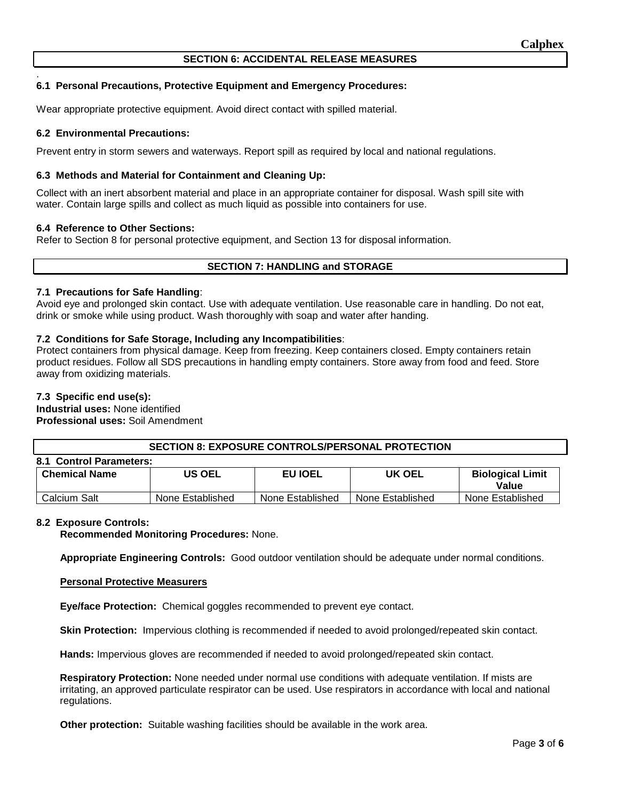# **SECTION 6: ACCIDENTAL RELEASE MEASURES**

#### . **6.1 Personal Precautions, Protective Equipment and Emergency Procedures:**

Wear appropriate protective equipment. Avoid direct contact with spilled material.

#### **6.2 Environmental Precautions:**

Prevent entry in storm sewers and waterways. Report spill as required by local and national regulations.

## **6.3 Methods and Material for Containment and Cleaning Up:**

Collect with an inert absorbent material and place in an appropriate container for disposal. Wash spill site with water. Contain large spills and collect as much liquid as possible into containers for use.

#### **6.4 Reference to Other Sections:**

Refer to Section 8 for personal protective equipment, and Section 13 for disposal information.

## **SECTION 7: HANDLING and STORAGE**

#### **7.1 Precautions for Safe Handling**:

Avoid eye and prolonged skin contact. Use with adequate ventilation. Use reasonable care in handling. Do not eat, drink or smoke while using product. Wash thoroughly with soap and water after handing.

#### **7.2 Conditions for Safe Storage, Including any Incompatibilities**:

Protect containers from physical damage. Keep from freezing. Keep containers closed. Empty containers retain product residues. Follow all SDS precautions in handling empty containers. Store away from food and feed. Store away from oxidizing materials.

#### **7.3 Specific end use(s):**

**Industrial uses:** None identified **Professional uses:** Soil Amendment

**SECTION 8: EXPOSURE CONTROLS/PERSONAL PROTECTION**

| 8.1 Control Parameters: |                  |                  |                  |                                  |  |  |  |  |
|-------------------------|------------------|------------------|------------------|----------------------------------|--|--|--|--|
| <b>Chemical Name</b>    | US OEL           | <b>EU IOEL</b>   | UK OEL           | <b>Biological Limit</b><br>Value |  |  |  |  |
| Calcium Salt            | None Established | None Established | None Established | None Established                 |  |  |  |  |

#### **8.2 Exposure Controls:**

**Recommended Monitoring Procedures:** None.

**Appropriate Engineering Controls:** Good outdoor ventilation should be adequate under normal conditions.

#### **Personal Protective Measurers**

**Eye/face Protection:** Chemical goggles recommended to prevent eye contact.

**Skin Protection:** Impervious clothing is recommended if needed to avoid prolonged/repeated skin contact.

**Hands:** Impervious gloves are recommended if needed to avoid prolonged/repeated skin contact.

**Respiratory Protection:** None needed under normal use conditions with adequate ventilation. If mists are irritating, an approved particulate respirator can be used. Use respirators in accordance with local and national regulations.

**Other protection:** Suitable washing facilities should be available in the work area.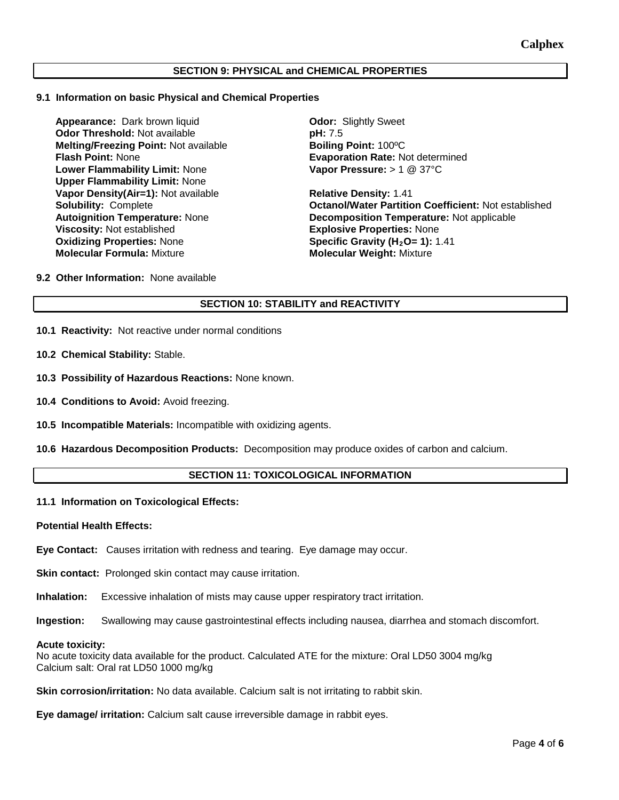# **SECTION 9: PHYSICAL and CHEMICAL PROPERTIES**

#### **9.1 Information on basic Physical and Chemical Properties**

**Appearance:** Dark brown liquid **Odor:** Slightly Sweet **Odor Threshold:** Not available **pH: 7.5 Melting/Freezing Point: Not available better and a Boiling Point: 100°C<br><b>Flash Point: N**one **Boiling Point: A** Evaporation Rate: N **Lower Flammability Limit:** None **Upper Flammability Limit:** None **Vapor Density(Air=1):** Not available **Relative Density:** 1.41 **Viscosity:** Not established **Explosive Properties:** None<br> **Oxidizing Properties:** None **Explosive Constant Specific Gravity (H<sub>2</sub>O= 1):** 1 **Molecular Formula:** Mixture **Molecular Weight:** Mixture

**Evaporation Rate: Not determined Vapor Pressure:** > 1 @ 37°C

**Solubility:** Complete **Octanol/Water Partition Coefficient:** Not established **Autoignition Temperature:** None **Decomposition Temperature:** Not applicable **Specific Gravity (H<sub>2</sub>O= 1): 1.41** 

**9.2 Other Information:** None available

# **SECTION 10: STABILITY and REACTIVITY**

- **10.1 Reactivity:** Not reactive under normal conditions
- **10.2 Chemical Stability:** Stable.
- **10.3 Possibility of Hazardous Reactions:** None known.
- **10.4 Conditions to Avoid:** Avoid freezing.
- **10.5 Incompatible Materials:** Incompatible with oxidizing agents.
- **10.6 Hazardous Decomposition Products:** Decomposition may produce oxides of carbon and calcium.

# **SECTION 11: TOXICOLOGICAL INFORMATION**

#### **11.1 Information on Toxicological Effects:**

#### **Potential Health Effects:**

**Eye Contact:** Causes irritation with redness and tearing. Eye damage may occur.

**Skin contact:** Prolonged skin contact may cause irritation.

**Inhalation:** Excessive inhalation of mists may cause upper respiratory tract irritation.

**Ingestion:** Swallowing may cause gastrointestinal effects including nausea, diarrhea and stomach discomfort.

#### **Acute toxicity:**

No acute toxicity data available for the product. Calculated ATE for the mixture: Oral LD50 3004 mg/kg Calcium salt: Oral rat LD50 1000 mg/kg

**Skin corrosion/irritation:** No data available. Calcium salt is not irritating to rabbit skin.

**Eye damage/ irritation:** Calcium salt cause irreversible damage in rabbit eyes.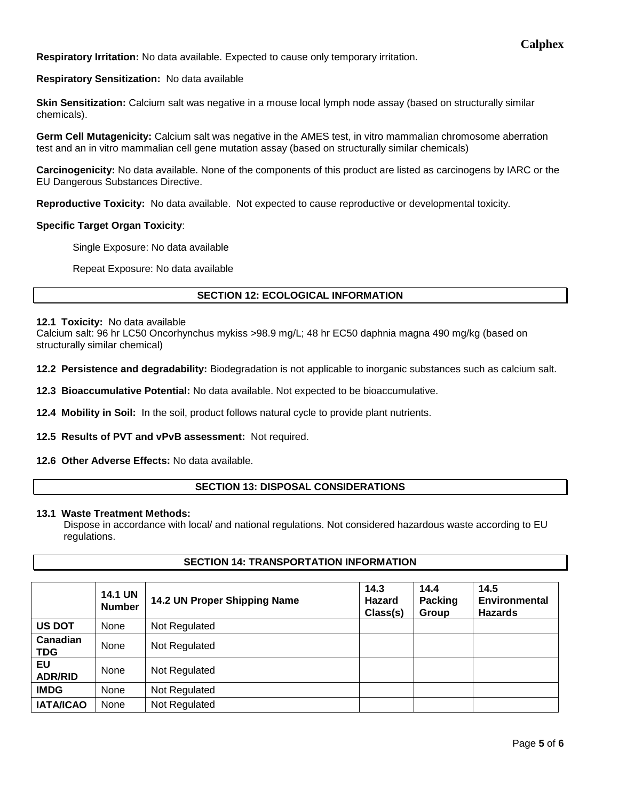**Respiratory Irritation:** No data available. Expected to cause only temporary irritation.

**Respiratory Sensitization:** No data available

**Skin Sensitization:** Calcium salt was negative in a mouse local lymph node assay (based on structurally similar chemicals).

**Germ Cell Mutagenicity:** Calcium salt was negative in the AMES test, in vitro mammalian chromosome aberration test and an in vitro mammalian cell gene mutation assay (based on structurally similar chemicals)

**Carcinogenicity:** No data available. None of the components of this product are listed as carcinogens by IARC or the EU Dangerous Substances Directive.

**Reproductive Toxicity:** No data available. Not expected to cause reproductive or developmental toxicity.

#### **Specific Target Organ Toxicity**:

Single Exposure: No data available

Repeat Exposure: No data available

# **SECTION 12: ECOLOGICAL INFORMATION**

#### **12.1 Toxicity:** No data available

Calcium salt: 96 hr LC50 Oncorhynchus mykiss >98.9 mg/L; 48 hr EC50 daphnia magna 490 mg/kg (based on structurally similar chemical)

**12.2 Persistence and degradability:** Biodegradation is not applicable to inorganic substances such as calcium salt.

**12.3 Bioaccumulative Potential:** No data available. Not expected to be bioaccumulative.

**12.4 Mobility in Soil:** In the soil, product follows natural cycle to provide plant nutrients.

**12.5 Results of PVT and vPvB assessment:** Not required.

# **12.6 Other Adverse Effects:** No data available.

# **SECTION 13: DISPOSAL CONSIDERATIONS**

#### **13.1 Waste Treatment Methods:**

Dispose in accordance with local/ and national regulations. Not considered hazardous waste according to EU regulations.

# **SECTION 14: TRANSPORTATION INFORMATION**

|                        | <b>14.1 UN</b><br><b>Number</b> | 14.2 UN Proper Shipping Name | 14.3<br>Hazard<br>Class(s) | 14.4<br>Packing<br>Group | 14.5<br><b>Environmental</b><br><b>Hazards</b> |
|------------------------|---------------------------------|------------------------------|----------------------------|--------------------------|------------------------------------------------|
| <b>US DOT</b>          | None                            | Not Regulated                |                            |                          |                                                |
| Canadian<br><b>TDG</b> | None                            | Not Regulated                |                            |                          |                                                |
| EU<br><b>ADR/RID</b>   | None                            | Not Regulated                |                            |                          |                                                |
| <b>IMDG</b>            | None                            | Not Regulated                |                            |                          |                                                |
| <b>IATA/ICAO</b>       | None                            | Not Regulated                |                            |                          |                                                |